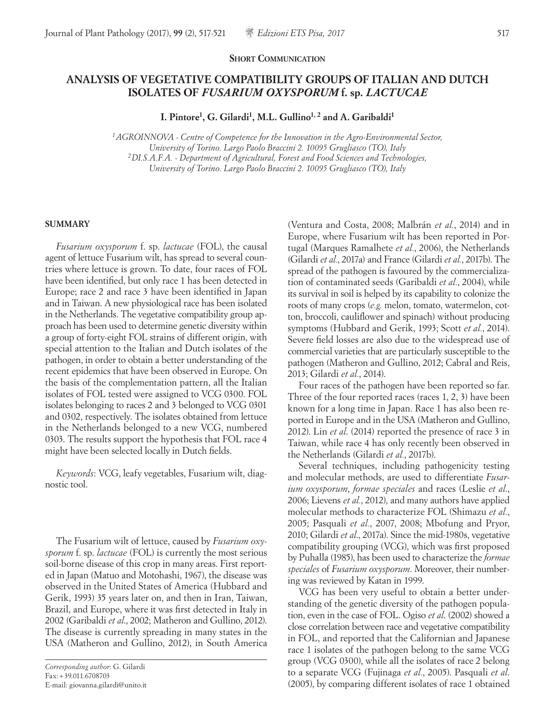#### **SHORT COMMUNICATION**

# **ANALYSIS OF VEGETATIVE COMPATIBILITY GROUPS OF ITALIAN AND DUTCH ISOLATES OF** *FUSARIUM OXYSPORUM* **f. sp.** *LACTUCAE*

**I. Pintore1, G. Gilardi1, M.L. Gullino1, 2 and A. Garibaldi1**

*1AGROINNOVA - Centre of Competence for the Innovation in the Agro-Environmental Sector, University of Torino. Largo Paolo Braccini 2. 10095 Grugliasco (TO), Italy 2DI.S.A.F.A. - Department of Agricultural, Forest and Food Sciences and Technologies, University of Torino. Largo Paolo Braccini 2. 10095 Grugliasco (TO), Italy*

#### **SUMMARY**

*Fusarium oxysporum* f. sp. *lactucae* (FOL), the causal agent of lettuce Fusarium wilt, has spread to several countries where lettuce is grown. To date, four races of FOL have been identified, but only race 1 has been detected in Europe; race 2 and race 3 have been identified in Japan and in Taiwan. A new physiological race has been isolated in the Netherlands. The vegetative compatibility group approach has been used to determine genetic diversity within a group of forty-eight FOL strains of different origin, with special attention to the Italian and Dutch isolates of the pathogen, in order to obtain a better understanding of the recent epidemics that have been observed in Europe. On the basis of the complementation pattern, all the Italian isolates of FOL tested were assigned to VCG 0300. FOL isolates belonging to races 2 and 3 belonged to VCG 0301 and 0302, respectively. The isolates obtained from lettuce in the Netherlands belonged to a new VCG, numbered 0303. The results support the hypothesis that FOL race 4 might have been selected locally in Dutch fields.

*Keywords*: VCG, leafy vegetables, Fusarium wilt, diagnostic tool.

The Fusarium wilt of lettuce, caused by *Fusarium oxysporum* f. sp. *lactucae* (FOL) is currently the most serious soil-borne disease of this crop in many areas. First reported in Japan (Matuo and Motohashi, 1967), the disease was observed in the United States of America (Hubbard and Gerik, 1993) 35 years later on, and then in Iran, Taiwan, Brazil, and Europe, where it was first detected in Italy in 2002 (Garibaldi *et al*., 2002; Matheron and Gullino, 2012). The disease is currently spreading in many states in the USA (Matheron and Gullino, 2012), in South America

(Ventura and Costa, 2008; Malbrán *et al.*, 2014) and in Europe, where Fusarium wilt has been reported in Portugal (Marques Ramalhete *et al.*, 2006), the Netherlands (Gilardi *et al.*, 2017a) and France (Gilardi *et al.*, 2017b). The spread of the pathogen is favoured by the commercialization of contaminated seeds (Garibaldi *et al.*, 2004), while its survival in soil is helped by its capability to colonize the roots of many crops (*e.g.* melon, tomato, watermelon, cotton, broccoli, cauliflower and spinach) without producing symptoms (Hubbard and Gerik, 1993; Scott *et al.*, 2014). Severe field losses are also due to the widespread use of commercial varieties that are particularly susceptible to the pathogen (Matheron and Gullino, 2012; Cabral and Reis, 2013; Gilardi *et al.*, 2014).

Four races of the pathogen have been reported so far. Three of the four reported races (races 1, 2, 3) have been known for a long time in Japan. Race 1 has also been reported in Europe and in the USA (Matheron and Gullino, 2012). Lin *et al*. (2014) reported the presence of race 3 in Taiwan, while race 4 has only recently been observed in the Netherlands (Gilardi *et al.*, 2017b).

Several techniques, including pathogenicity testing and molecular methods, are used to differentiate *Fusarium oxysporum*, *formae speciales* and races (Leslie *et al*., 2006; Lievens *et al.*, 2012), and many authors have applied molecular methods to characterize FOL (Shimazu *et al.*, 2005; Pasquali *et al.*, 2007, 2008; Mbofung and Pryor, 2010; Gilardi *et al*., 2017a). Since the mid-1980s, vegetative compatibility grouping (VCG), which was first proposed by Puhalla (1985), has been used to characterize the *formae speciales* of *Fusarium oxysporum*. Moreover, their numbering was reviewed by Katan in 1999.

VCG has been very useful to obtain a better understanding of the genetic diversity of the pathogen population, even in the case of FOL. Ogiso *et al*. (2002) showed a close correlation between race and vegetative compatibility in FOL, and reported that the Californian and Japanese race 1 isolates of the pathogen belong to the same VCG group (VCG 0300), while all the isolates of race 2 belong to a separate VCG (Fujinaga *et al.*, 2005). Pasquali *et al*. (2005), by comparing different isolates of race 1 obtained

*Corresponding author*: G. Gilardi Fax:+39.011.6708703 E-mail: giovanna.gilardi@unito.it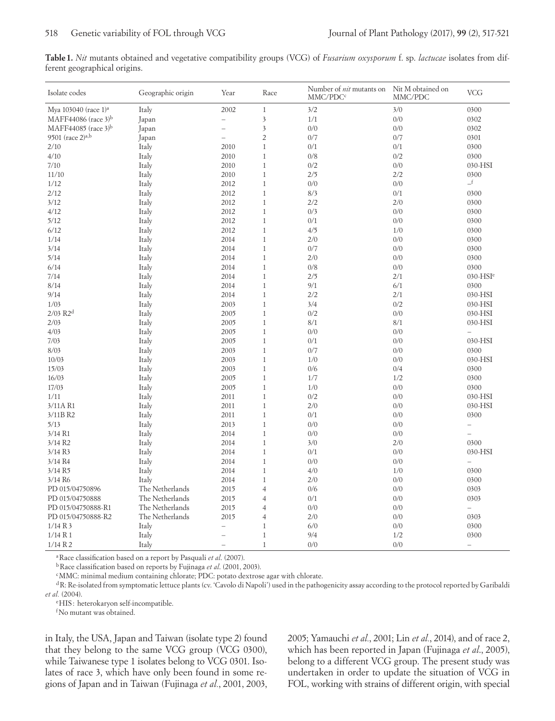**Table1.** *Nit* mutants obtained and vegetative compatibility groups (VCG) of *Fusarium oxysporum* f. sp. *lactucae* isolates from different geographical origins.

| Isolate codes                    | Geographic origin | Year                     | Race                    | Number of <i>nit</i> mutants on<br>MMC/PDC <sup>c</sup> | Nit M obtained on<br>MMC/PDC | <b>VCG</b>               |
|----------------------------------|-------------------|--------------------------|-------------------------|---------------------------------------------------------|------------------------------|--------------------------|
| Mya 103040 (race 1) <sup>a</sup> | Italy             | 2002                     | $\mathbf{1}$            | 3/2                                                     | 3/0                          | 0300                     |
| MAFF44086 (race $3$ <sup>b</sup> | Japan             | $\equiv$                 | $\overline{\mathbf{3}}$ | 1/1                                                     | 0/0                          | 0302                     |
| MAFF44085 (race $3$ <sup>b</sup> | Japan             | $\overline{\phantom{0}}$ | $\overline{\mathbf{3}}$ | 0/0                                                     | 0/0                          | 0302                     |
| 9501 (race $2^{a,b}$             | Japan             | $\overline{\phantom{0}}$ | $\overline{2}$          | 0/7                                                     | 0/7                          | 0301                     |
| 2/10                             | Italy             | 2010                     | $\mathbf{1}$            | 0/1                                                     | 0/1                          | 0300                     |
| 4/10                             | Italy             | 2010                     | $\mathbf{1}$            | 0/8                                                     | 0/2                          | 0300                     |
| 7/10                             | Italy             | 2010                     | $\mathbf{1}$            | 0/2                                                     | 0/0                          | 030-HSI                  |
| 11/10                            | Italy             | 2010                     | $1\,$                   | 2/5                                                     | 2/2                          | 0300                     |
| 1/12                             | Italy             | 2012                     | $\mathbf{1}$            | 0/0                                                     | 0/0                          | $\_$ f                   |
| 2/12                             | Italy             | 2012                     | $1\,$                   | 8/3                                                     | 0/1                          | 0300                     |
| 3/12                             | Italy             | 2012                     | $\mathbf{1}$            | 2/2                                                     | 2/0                          | 0300                     |
| 4/12                             | Italy             | 2012                     | $1\,$                   | 0/3                                                     | 0/0                          | 0300                     |
| 5/12                             | Italy             | 2012                     | $1\,$                   | $0/1$                                                   | 0/0                          | 0300                     |
| 6/12                             | Italy             | 2012                     | $\mathbf{1}$            | 4/5                                                     | 1/0                          | 0300                     |
| 1/14                             | Italy             | 2014                     | $\,1\,$                 | 2/0                                                     | 0/0                          | 0300                     |
| 3/14                             | Italy             | 2014                     | $\mathbf{1}$            | 0/7                                                     | 0/0                          | 0300                     |
| 5/14                             | Italy             | 2014                     | $\mathbf{1}$            | 2/0                                                     | 0/0                          | 0300                     |
| 6/14                             | Italy             | 2014                     | $1\,$                   | 0/8                                                     | 0/0                          | 0300                     |
| 7/14                             | Italy             | 2014                     | $\mathbf{1}$            | 2/5                                                     | 2/1                          | $030 - HSIe$             |
| 8/14                             | Italy             | 2014                     | $\mathbf{1}$            | 9/1                                                     | 6/1                          | 0300                     |
| 9/14                             | Italy             | 2014                     | $\mathbf{1}$            | 2/2                                                     | 2/1                          | 030-HSI                  |
| 1/03                             | Italy             | 2003                     | $\mathbf{1}$            | 3/4                                                     | 0/2                          | 030-HSI                  |
| $2/03$ $R2d$                     | Italy             | 2005                     | $1\,$                   | $0/2$                                                   | 0/0                          | 030-HSI                  |
| 2/03                             | Italy             | 2005                     | $\mathbf{1}$            | 8/1                                                     | 8/1                          | 030-HSI                  |
| 4/03                             | Italy             | 2005                     | $\mathbf{1}$            | 0/0                                                     | 0/0                          | $\overline{\phantom{0}}$ |
| 7/03                             | Italy             | 2005                     | $1\,$                   | 0/1                                                     | 0/0                          | 030-HSI                  |
| 8/03                             | Italy             | 2003                     | $\mathbf{1}$            | 0/7                                                     | 0/0                          | 0300                     |
| 10/03                            | Italy             | 2003                     | $\mathbf{1}$            | 1/0                                                     | 0/0                          | 030-HSI                  |
| 15/03                            | Italy             | 2003                     | $\mathbf{1}$            | 0/6                                                     | 0/4                          | 0300                     |
| 16/03                            | Italy             | 2005                     | $\mathbf{1}$            | 1/7                                                     | 1/2                          | 0300                     |
| 17/03                            | Italy             | 2005                     | $1\,$                   | 1/0                                                     | 0/0                          | 0300                     |
| 1/11                             | Italy             | 2011                     | $\mathbf{1}$            | 0/2                                                     | 0/0                          | 030-HSI                  |
| 3/11A R1                         | Italy             | 2011                     | $\mathbf{1}$            | 2/0                                                     | 0/0                          | 030-HSI                  |
| 3/11B R2                         | Italy             | 2011                     | $\mathbf{1}$            | 0/1                                                     | 0/0                          | 0300                     |
| 5/13                             | Italy             | 2013                     | $1\,$                   | 0/0                                                     | 0/0                          | $\overline{\phantom{0}}$ |
| $3/14$ R1                        | Italy             | 2014                     | $\,1$                   | $0\!/0$                                                 | 0/0                          | $\overline{\phantom{0}}$ |
| $3/14$ R <sub>2</sub>            | Italy             | 2014                     | $\mathbf{1}$            | 3/0                                                     | 2/0                          | 0300                     |
| 3/14 R3                          | Italy             | 2014                     | $\,1$                   | 0/1                                                     | 0/0                          | 030-HSI                  |
| 3/14 R4                          | Italy             | 2014                     | $\mathbf{1}$            | 0/0                                                     | 0/0                          | $\equiv$                 |
| 3/14 R5                          | Italy             | 2014                     | $\mathbf{1}$            | 4/0                                                     | 1/0                          | 0300                     |
| 3/14 R6                          | Italy             | 2014                     | $1\,$                   | 2/0                                                     | 0/0                          | 0300                     |
| PD 015/04750896                  | The Netherlands   | 2015                     | $\overline{4}$          | 0/6                                                     | 0/0                          | 0303                     |
| PD 015/04750888                  | The Netherlands   | 2015                     | $\overline{4}$          | 0/1                                                     | 0/0                          | 0303                     |
| PD 015/04750888-R1               | The Netherlands   | 2015                     | $\overline{4}$          | 0/0                                                     | 0/0                          | $\equiv$                 |
| PD 015/04750888-R2               | The Netherlands   | 2015                     | $\overline{4}$          | 2/0                                                     | 0/0                          | 0303                     |
| 1/14 R3                          | Italy             | $\overline{a}$           | $1\,$                   | $6/0$                                                   | 0/0                          | 0300                     |
| 1/14 R1                          | Italy             | $\equiv$                 | $1\,$                   | 9/4                                                     | 1/2                          | 0300                     |
| 1/14 R2                          | Italy             | $\overline{\phantom{0}}$ | $\mathbf{1}$            | 0/0                                                     | 0/0                          | $\overline{\phantom{m}}$ |

aRace classification based on a report by Pasquali *et al*. (2007).

bRace classification based on reports by Fujinaga *et al*. (2001, 2003).

cMMC: minimal medium containing chlorate; PDC: potato dextrose agar with chlorate.

dR: Re-isolated from symptomatic lettuce plants (cv. 'Cavolo di Napoli') used in the pathogenicity assay according to the protocol reported by Garibaldi *et al.* (2004).

eHIS: heterokaryon self-incompatible.

fNo mutant was obtained.

in Italy, the USA, Japan and Taiwan (isolate type 2) found that they belong to the same VCG group (VCG 0300), while Taiwanese type 1 isolates belong to VCG 0301. Isolates of race 3, which have only been found in some regions of Japan and in Taiwan (Fujinaga *et al.*, 2001, 2003, 2005; Yamauchi *et al.*, 2001; Lin *et al.*, 2014), and of race 2, which has been reported in Japan (Fujinaga *et al*., 2005), belong to a different VCG group. The present study was undertaken in order to update the situation of VCG in FOL, working with strains of different origin, with special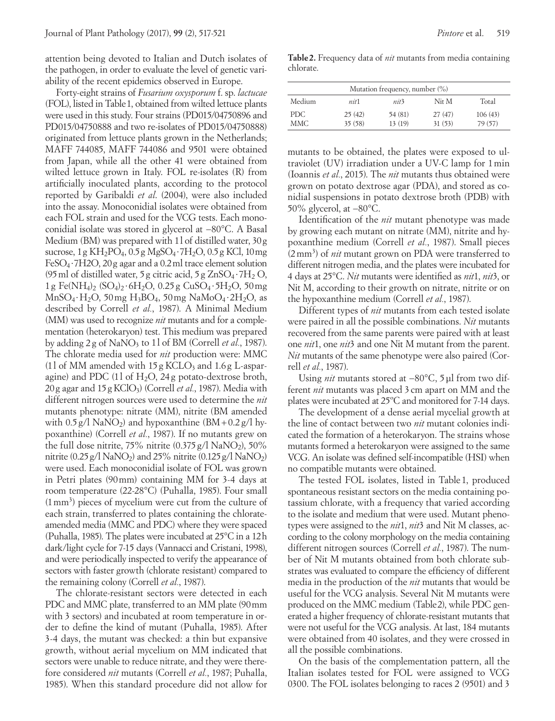attention being devoted to Italian and Dutch isolates of the pathogen, in order to evaluate the level of genetic variability of the recent epidemics observed in Europe.

Forty-eight strains of *Fusarium oxysporum* f. sp. *lactucae* (FOL), listed in Table1, obtained from wilted lettuce plants were used in this study. Four strains (PD015/04750896 and PD015/04750888 and two re-isolates of PD015/04750888) originated from lettuce plants grown in the Netherlands; MAFF 744085, MAFF 744086 and 9501 were obtained from Japan, while all the other 41 were obtained from wilted lettuce grown in Italy. FOL re-isolates (R) from artificially inoculated plants, according to the protocol reported by Garibaldi *et al*. (2004), were also included into the assay. Monoconidial isolates were obtained from each FOL strain and used for the VCG tests. Each monoconidial isolate was stored in glycerol at −80°C. A Basal Medium (BM) was prepared with 1l of distilled water, 30g sucrose, 1g KH<sub>2</sub>PO<sub>4</sub>, 0.5g MgSO<sub>4</sub> ⋅ 7H<sub>2</sub>O, 0.5g KCl, 10mg FeSO4 ∙7H2O, 20g agar and a 0.2ml trace element solution (95 ml of distilled water, 5 g citric acid, 5 g  $ZnSO_4 \tcdot 7H_2 O$ , 1g Fe(NH4)2 (SO4)2 ∙6H2O, 0.25g CuSO4 ∙5H2O, 50mg MnSO4∙H2O, 50mg H3BO4, 50mg NaMoO4 ∙2H2O, as described by Correll *et al.*, 1987). A Minimal Medium (MM) was used to recognize *nit* mutants and for a complementation (heterokaryon) test. This medium was prepared by adding 2g of NaNO3 to 1l of BM (Correll *et al.*, 1987). The chlorate media used for *nit* production were: MMC (11 of MM amended with  $15g$  KCLO<sub>3</sub> and  $1.6g$  L-asparagine) and PDC (11 of  $H_2O$ , 24g potato-dextrose broth, 20g agar and 15g KClO3) (Correll *et al.*, 1987). Media with different nitrogen sources were used to determine the *nit*  mutants phenotype: nitrate (MM), nitrite (BM amended with  $0.5 g/l$  NaNO<sub>2</sub>) and hypoxanthine  $(BM + 0.2 g/l$  hypoxanthine) (Correll *et al.*, 1987). If no mutants grew on the full dose nitrite,  $75\%$  nitrite  $(0.375 \text{ g}/1 \text{ Na} \text{NO}_2)$ ,  $50\%$ nitrite (0.25 g/l NaNO<sub>2</sub>) and 25% nitrite (0.125 g/l NaNO<sub>2</sub>) were used. Each monoconidial isolate of FOL was grown in Petri plates (90mm) containing MM for 3-4 days at room temperature (22-28°C) (Puhalla, 1985). Four small (1mm3 ) pieces of mycelium were cut from the culture of each strain, transferred to plates containing the chlorateamended media (MMC and PDC) where they were spaced (Puhalla, 1985). The plates were incubated at 25°C in a 12h dark/light cycle for 7-15 days (Vannacci and Cristani, 1998), and were periodically inspected to verify the appearance of sectors with faster growth (chlorate resistant) compared to the remaining colony (Correll *et al.*, 1987).

The chlorate-resistant sectors were detected in each PDC and MMC plate, transferred to an MM plate (90mm with 3 sectors) and incubated at room temperature in order to define the kind of mutant (Puhalla, 1985). After 3-4 days, the mutant was checked: a thin but expansive growth, without aerial mycelium on MM indicated that sectors were unable to reduce nitrate, and they were therefore considered *nit* mutants (Correll *et al.*, 1987; Puhalla, 1985). When this standard procedure did not allow for

**Table2.** Frequency data of *nit* mutants from media containing chlorate.

| Mutation frequency, number (%) |        |                  |        |         |  |  |  |  |
|--------------------------------|--------|------------------|--------|---------|--|--|--|--|
| Medium                         | nit1   | nit <sup>3</sup> | Nit M  | Total   |  |  |  |  |
| PDC.                           | 25(42) | 54 (81)          | 27(47) | 106(43) |  |  |  |  |
| MMC.                           | 35(58) | 13(19)           | 31(53) | 79 (57) |  |  |  |  |

mutants to be obtained, the plates were exposed to ultraviolet (UV) irradiation under a UV-C lamp for 1min (Ioannis *et al.*, 2015). The *nit* mutants thus obtained were grown on potato dextrose agar (PDA), and stored as conidial suspensions in potato dextrose broth (PDB) with 50% glycerol, at −80°C.

Identification of the *nit* mutant phenotype was made by growing each mutant on nitrate (MM), nitrite and hypoxanthine medium (Correll *et al.*, 1987). Small pieces (2mm3 ) of *nit* mutant grown on PDA were transferred to different nitrogen media, and the plates were incubated for 4 days at 25°C. *Nit* mutants were identified as *nit*1, *nit*3, or Nit M, according to their growth on nitrate, nitrite or on the hypoxanthine medium (Correll *et al.*, 1987).

Different types of *nit* mutants from each tested isolate were paired in all the possible combinations. *Nit* mutants recovered from the same parents were paired with at least one *nit*1, one *nit*3 and one Nit M mutant from the parent. *Nit* mutants of the same phenotype were also paired (Correll *et al.*, 1987).

Using *nit* mutants stored at −80°C, 5 µl from two different *nit* mutants was placed 3cm apart on MM and the plates were incubated at 25ºC and monitored for 7-14 days.

The development of a dense aerial mycelial growth at the line of contact between two *nit* mutant colonies indicated the formation of a heterokaryon. The strains whose mutants formed a heterokaryon were assigned to the same VCG. An isolate was defined self-incompatible (HSI) when no compatible mutants were obtained.

The tested FOL isolates, listed in Table 1, produced spontaneous resistant sectors on the media containing potassium chlorate, with a frequency that varied according to the isolate and medium that were used. Mutant phenotypes were assigned to the *nit*1, *nit*3 and Nit M classes, according to the colony morphology on the media containing different nitrogen sources (Correll *et al.*, 1987). The number of Nit M mutants obtained from both chlorate substrates was evaluated to compare the efficiency of different media in the production of the *nit* mutants that would be useful for the VCG analysis. Several Nit M mutants were produced on the MMC medium (Table2), while PDC generated a higher frequency of chlorate-resistant mutants that were not useful for the VCG analysis. At last, 184 mutants were obtained from 40 isolates, and they were crossed in all the possible combinations.

On the basis of the complementation pattern, all the Italian isolates tested for FOL were assigned to VCG 0300. The FOL isolates belonging to races 2 (9501) and 3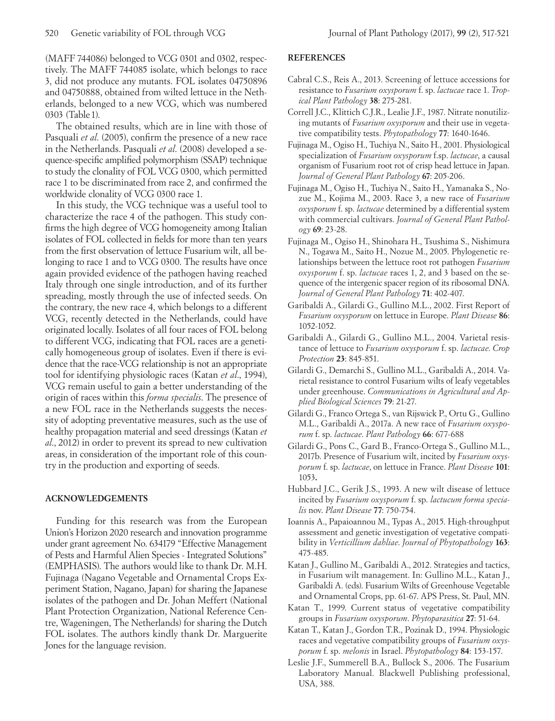(MAFF 744086) belonged to VCG 0301 and 0302, respectively. The MAFF 744085 isolate, which belongs to race 3, did not produce any mutants. FOL isolates 04750896 and 04750888, obtained from wilted lettuce in the Netherlands, belonged to a new VCG, which was numbered 0303 (Table1).

The obtained results, which are in line with those of Pasquali *et al*. (2005), confirm the presence of a new race in the Netherlands. Pasquali *et al*. (2008) developed a sequence-specific amplified polymorphism (SSAP) technique to study the clonality of FOL VCG 0300, which permitted race 1 to be discriminated from race 2, and confirmed the worldwide clonality of VCG 0300 race 1.

In this study, the VCG technique was a useful tool to characterize the race 4 of the pathogen. This study confirms the high degree of VCG homogeneity among Italian isolates of FOL collected in fields for more than ten years from the first observation of lettuce Fusarium wilt, all belonging to race 1 and to VCG 0300. The results have once again provided evidence of the pathogen having reached Italy through one single introduction, and of its further spreading, mostly through the use of infected seeds. On the contrary, the new race 4, which belongs to a different VCG, recently detected in the Netherlands, could have originated locally. Isolates of all four races of FOL belong to different VCG, indicating that FOL races are a genetically homogeneous group of isolates. Even if there is evidence that the race-VCG relationship is not an appropriate tool for identifying physiologic races (Katan *et al*., 1994), VCG remain useful to gain a better understanding of the origin of races within this *forma specialis*. The presence of a new FOL race in the Netherlands suggests the necessity of adopting preventative measures, such as the use of healthy propagation material and seed dressings (Katan *et al*., 2012) in order to prevent its spread to new cultivation areas, in consideration of the important role of this country in the production and exporting of seeds.

## **ACKNOWLEDGEMENTS**

Funding for this research was from the European Union's Horizon 2020 research and innovation programme under grant agreement No. 634179 "Effective Management of Pests and Harmful Alien Species - Integrated Solutions" (EMPHASIS). The authors would like to thank Dr. M.H. Fujinaga (Nagano Vegetable and Ornamental Crops Experiment Station, Nagano, Japan) for sharing the Japanese isolates of the pathogen and Dr. Johan Meffert (National Plant Protection Organization, National Reference Centre, Wageningen, The Netherlands) for sharing the Dutch FOL isolates. The authors kindly thank Dr. Marguerite Jones for the language revision.

### **REFERENCES**

- Cabral C.S., Reis A., 2013. Screening of lettuce accessions for resistance to *Fusarium oxysporum* f. sp. *lactucae* race 1. *Tropical Plant Pathology* **38**: 275-281.
- Correll J.C., Klittich C.J.R., Lealie J.F., 1987. Nitrate nonutilizing mutants of *Fusarium oxysporum* and their use in vegetative compatibility tests. *Phytopathology* **77**: 1640-1646.
- Fujinaga M., Ogiso H., Tuchiya N., Saito H., 2001. Physiological specialization of *Fusarium oxysporum* f.sp. *lactucae*, a causal organism of Fusarium root rot of crisp head lettuce in Japan. *Journal of General Plant Pathology* **67**: 205-206.
- Fujinaga M., Ogiso H., Tuchiya N., Saito H., Yamanaka S., Nozue M., Kojima M., 2003. Race 3, a new race of *Fusarium oxysporum* f. sp. *lactucae* determined by a differential system with commercial cultivars. *Journal of General Plant Pathology* **69**: 23-28.
- Fujinaga M., Ogiso H., Shinohara H., Tsushima S., Nishimura N., Togawa M., Saito H., Nozue M., 2005. Phylogenetic relationships between the lettuce root rot pathogen *Fusarium oxysporum* f. sp. *lactucae* races 1, 2, and 3 based on the sequence of the intergenic spacer region of its ribosomal DNA. *Journal of General Plant Pathology* **71**: 402-407.
- Garibaldi A., Gilardi G., Gullino M.L., 2002. First Report of *Fusarium oxysporum* on lettuce in Europe. *Plant Disease* **86**: 1052-1052.
- Garibaldi A., Gilardi G., Gullino M.L., 2004. Varietal resistance of lettuce to *Fusarium oxysporum* f. sp. *lactucae*. *Crop Protection* **23**: 845-851.
- Gilardi G., Demarchi S., Gullino M.L., Garibaldi A., 2014. Varietal resistance to control Fusarium wilts of leafy vegetables under greenhouse. *Communications in Agricultural and Applied Biological Sciences* **79**: 21-27.
- Gilardi G., Franco Ortega S., van Rijswick P., Ortu G., Gullino M.L., Garibaldi A., 2017a. A new race of *Fusarium oxysporum* f. sp. *lactucae*. *Plant Pathology* **66**: 677-688
- Gilardi G., Pons C., Gard B., Franco-Ortega S., Gullino M.L., 2017b. Presence of Fusarium wilt, incited by *Fusarium oxysporum* f. sp. *lactucae*, on lettuce in France. *Plant Disease* **101**: 1053**.**
- Hubbard J.C., Gerik J.S., 1993. A new wilt disease of lettuce incited by *Fusarium oxysporum* f. sp. *lactucum forma specialis* nov. *Plant Disease* **77**: 750-754.
- Ioannis A., Papaioannou M., Typas A., 2015. High-throughput assessment and genetic investigation of vegetative compatibility in *Verticillium dahliae*. *Journal of Phytopathology* **163**: 475-485.
- Katan J., Gullino M., Garibaldi A., 2012. Strategies and tactics, in Fusarium wilt management. In: Gullino M.L., Katan J., Garibaldi A. (eds). Fusarium Wilts of Greenhouse Vegetable and Ornamental Crops, pp. 61-67. APS Press, St. Paul, MN.
- Katan T., 1999. Current status of vegetative compatibility groups in *Fusarium oxysporum*. *Phytoparasitica* **27**: 51-64.
- Katan T., Katan J., Gordon T.R., Pozinak D., 1994. Physiologic races and vegetative compatibility groups of *Fusarium oxysporum* f. sp. *melonis* in Israel. *Phytopathology* **84**: 153-157.
- Leslie J.F., Summerell B.A., Bullock S., 2006. The Fusarium Laboratory Manual. Blackwell Publishing professional, USA, 388.